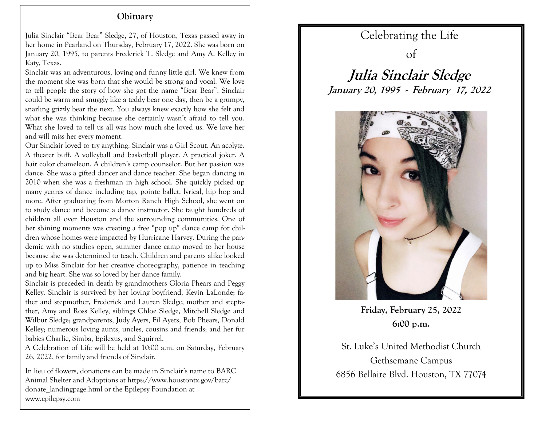## **Obituary**

 Julia Sinclair "Bear Bear" Sledge, 27, of Houston, Texas passed away in her home in Pearland on Thursday, February 17, 2022. She was born on January 20, 1995, to parents Frederick T. Sledge and Amy A. Kelley in Katy, Texas.

Sinclair was an adventurous, loving and funny little girl. We knew from the moment she was born that she would be strong and vocal. We love to tell people the story of how she got the name "Bear Bear". Sinclair could be warm and snuggly like a teddy bear one day, then be a grumpy, snarling grizzly bear the next. You always knew exactly how she felt and what she was thinking because she certainly wasn't afraid to tell you. What she loved to tell us all was how much she loved us. We love her and will miss her every moment.

Our Sinclair loved to try anything. Sinclair was a Girl Scout. An acolyte. A theater buff. A volleyball and basketball player. A practical joker. A hair color chameleon. A children's camp counselor. But her passion was dance. She was a gifted dancer and dance teacher. She began dancing in 2010 when she was a freshman in high school. She quickly picked up many genres of dance including tap, pointe ballet, lyrical, hip hop and more. After graduating from Morton Ranch High School, she went on to study dance and become a dance instructor. She taught hundreds of children all over Houston and the surrounding communities. One of her shining moments was creating a free "pop up" dance camp for children whose homes were impacted by Hurricane Harvey. During the pandemic with no studios open, summer dance camp moved to her house because she was determined to teach. Children and parents alike looked up to Miss Sinclair for her creative choreography, patience in teaching and big heart. She was so loved by her dance family.

Sinclair is preceded in death by grandmothers Gloria Phears and Peggy Kelley. Sinclair is survived by her loving boyfriend, Kevin LaLonde; father and stepmother, Frederick and Lauren Sledge; mother and stepfather, Amy and Ross Kelley; siblings Chloe Sledge, Mitchell Sledge and Wilbur Sledge; grandparents, Judy Ayers, Fil Ayers, Bob Phears, Donald Kelley; numerous loving aunts, uncles, cousins and friends; and her fur babies Charlie, Simba, Epilexus, and Squirrel.

A Celebration of Life will be held at 10:00 a.m. on Saturday, February 26, 2022, for family and friends of Sinclair.

In lieu of flowers, donations can be made in Sinclair's name to BARC Animal Shelter and Adoptions at https://www.houstontx.gov/barc/ donate\_landingpage.html or the Epilepsy Foundation at www.epilepsy.com

## Celebrating the Life

of

**Julia Sinclair Sledge January 20, 1995 - February 17, 2022**



**Friday, February 25, 2022 6:00 p.m.**

St. Luke's United Methodist Church Gethsemane Campus 6856 Bellaire Blvd. Houston, TX 77074